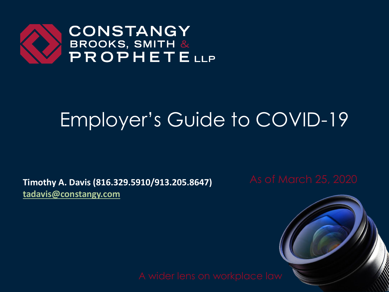

# Employer's Guide to COVID-19

**Timothy A. Davis (816.329.5910/913.205.8647)** As of March 25, 2020 **[tadavis@constangy.com](mailto:tadavis@constangy.com)**

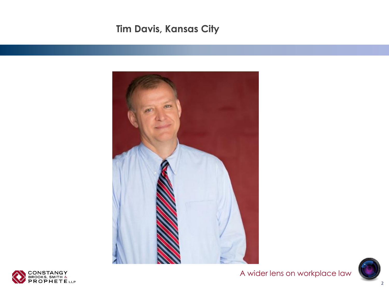#### **Tim Davis, Kansas City**







A wider lens on workplace law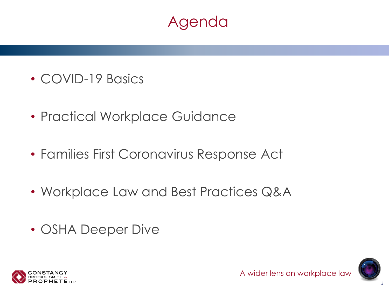#### Agenda

- COVID-19 Basics
- Practical Workplace Guidance
- Families First Coronavirus Response Act
- Workplace Law and Best Practices Q&A
- OSHA Deeper Dive



3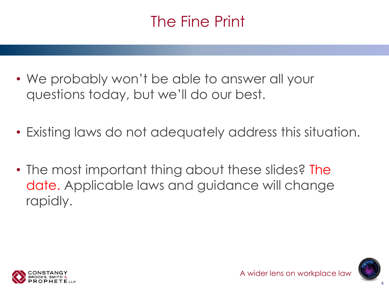# The Fine Print

- We probably won't be able to answer all your questions today, but we'll do our best.
- Existing laws do not adequately address this situation.
- The most important thing about these slides? The date. Applicable laws and guidance will change rapidly.

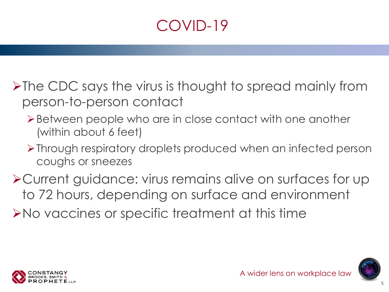# COVID-19

➢The CDC says the virus is thought to spread mainly from person-to-person contact

- ➢Between people who are in close contact with one another (within about 6 feet)
- ➢Through respiratory droplets produced when an infected person coughs or sneezes

➢Current guidance: virus remains alive on surfaces for up to 72 hours, depending on surface and environment ➢No vaccines or specific treatment at this time

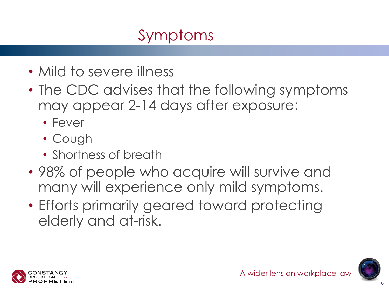# Symptoms

- Mild to severe illness
- The CDC advises that the following symptoms may appear 2-14 days after exposure:
	- Fever
	- Cough
	- Shortness of breath
- 98% of people who acquire will survive and many will experience only mild symptoms.
- Efforts primarily geared toward protecting elderly and at-risk.



6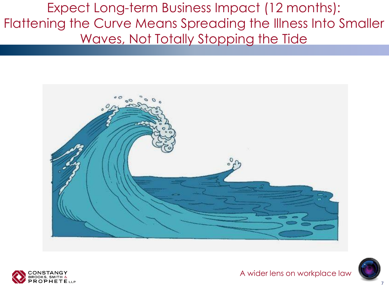Expect Long-term Business Impact (12 months): Flattening the Curve Means Spreading the Illness Into Smaller Waves, Not Totally Stopping the Tide





A wider lens on workplace law

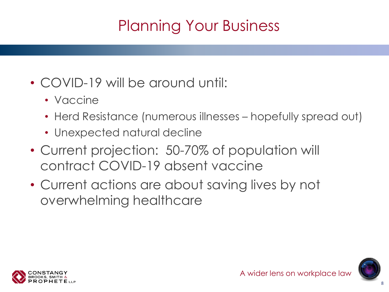# Planning Your Business

- COVID-19 will be around until:
	- Vaccine
	- Herd Resistance (numerous illnesses hopefully spread out)
	- Unexpected natural decline
- Current projection: 50-70% of population will contract COVID-19 absent vaccine
- Current actions are about saving lives by not overwhelming healthcare



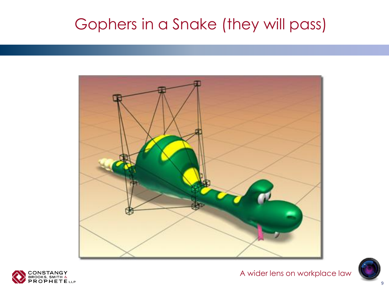#### Gophers in a Snake (they will pass)





A wider lens on workplace law

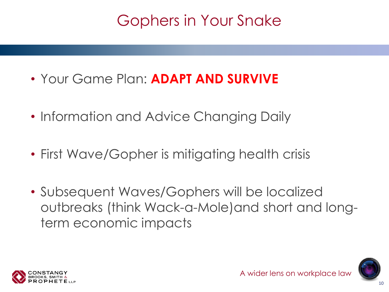#### Gophers in Your Snake

- Your Game Plan: **ADAPT AND SURVIVE**
- Information and Advice Changing Daily
- First Wave/Gopher is mitigating health crisis
- Subsequent Waves/Gophers will be localized outbreaks (think Wack-a-Mole)and short and longterm economic impacts



10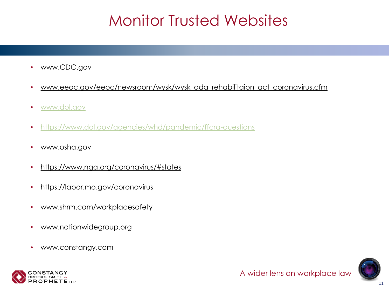#### Monitor Trusted Websites

- www.CDC.gov
- www.eeoc.gov/eeoc/newsroom/wysk/wysk\_ada\_rehabilitaion\_act\_coronavirus.cfm
- [www.dol.gov](http://www.dol.gov/)
- <https://www.dol.gov/agencies/whd/pandemic/ffcra-questions>
- www.osha.gov
- https://www.nga.org/coronavirus/#states
- https://labor.mo.gov/coronavirus
- www.shrm.com/workplacesafety
- www.nationwidegroup.org
- www.constangy.com

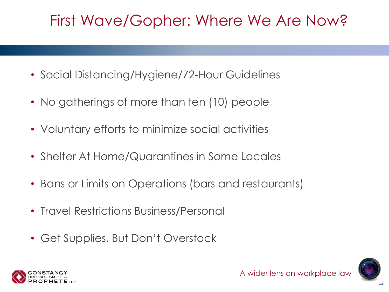#### First Wave/Gopher: Where We Are Now?

- Social Distancing/Hygiene/72-Hour Guidelines
- No gatherings of more than ten (10) people
- Voluntary efforts to minimize social activities
- Shelter At Home/Quarantines in Some Locales
- Bans or Limits on Operations (bars and restaurants)
- Travel Restrictions Business/Personal
- Get Supplies, But Don't Overstock

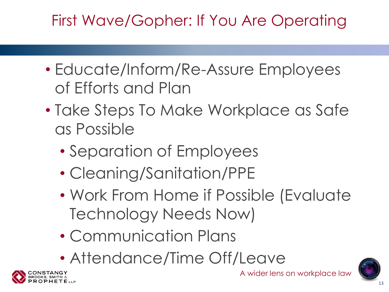# First Wave/Gopher: If You Are Operating

- Educate/Inform/Re-Assure Employees of Efforts and Plan
- Take Steps To Make Workplace as Safe as Possible
	- Separation of Employees
	- Cleaning/Sanitation/PPE
	- Work From Home if Possible (Evaluate Technology Needs Now)
	- Communication Plans
	- Attendance/Time Off/Leave



A wider lens on workplace law

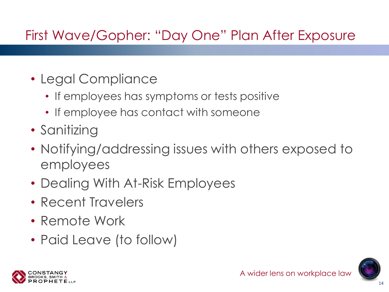#### First Wave/Gopher: "Day One" Plan After Exposure

- Legal Compliance
	- If employees has symptoms or tests positive
	- If employee has contact with someone
- Sanitizing
- Notifying/addressing issues with others exposed to employees
- Dealing With At-Risk Employees
- Recent Travelers
- Remote Work
- Paid Leave (to follow)

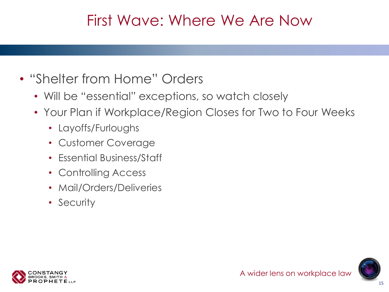#### First Wave: Where We Are Now

- "Shelter from Home" Orders
	- Will be "essential" exceptions, so watch closely
	- Your Plan if Workplace/Region Closes for Two to Four Weeks
		- Layoffs/Furloughs
		- Customer Coverage
		- Essential Business/Staff
		- Controlling Access
		- Mail/Orders/Deliveries
		- Security

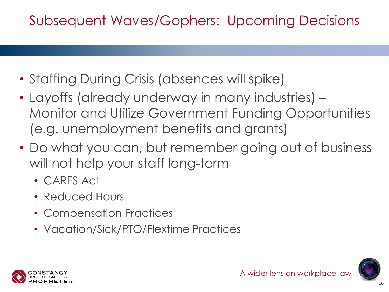#### Subsequent Waves/Gophers: Upcoming Decisions

- Staffing During Crisis (absences will spike)
- Layoffs (already underway in many industries) Monitor and Utilize Government Funding Opportunities (e.g. unemployment benefits and grants)
- Do what you can, but remember going out of business will not help your staff long-term
	- CARES Act
	- Reduced Hours
	- Compensation Practices
	- Vacation/Sick/PTO/Flextime Practices

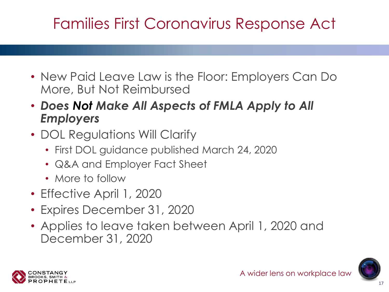# Families First Coronavirus Response Act

- New Paid Leave Law is the Floor: Employers Can Do More, But Not Reimbursed
- *Does Not Make All Aspects of FMLA Apply to All Employers*
- DOL Regulations Will Clarify
	- First DOL guidance published March 24, 2020
	- Q&A and Employer Fact Sheet
	- More to follow
- Effective April 1, 2020
- Expires December 31, 2020
- Applies to leave taken between April 1, 2020 and December 31, 2020



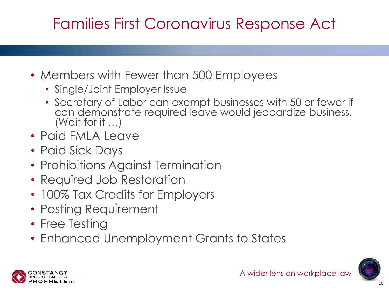# Families First Coronavirus Response Act

- Members with Fewer than 500 Employees
	- Single/Joint Employer Issue
	- Secretary of Labor can exempt businesses with 50 or fewer if can demonstrate required leave would jeopardize business. (Wait for it …)
- Paid FMLA Leave
- Paid Sick Days
- Prohibitions Against Termination
- Required Job Restoration
- 100% Tax Credits for Employers
- Posting Requirement
- Free Testing
- Enhanced Unemployment Grants to States



18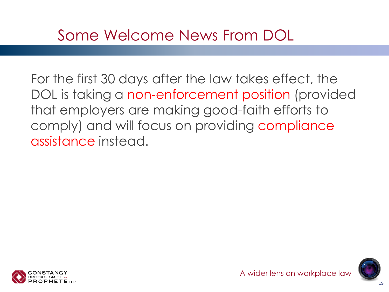#### Some Welcome News From DOL

For the first 30 days after the law takes effect, the DOL is taking a non-enforcement position (provided that employers are making good-faith efforts to comply) and will focus on providing compliance assistance instead.

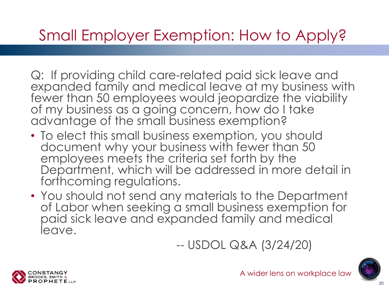#### Small Employer Exemption: How to Apply?

Q: If providing child care-related paid sick leave and expanded family and medical leave at my business with fewer than 50 employees would jeopardize the viability of my business as a going concern, how do I take advantage of the small business exemption?

- To elect this small business exemption, you should document why your business with fewer than 50 employees meets the criteria set forth by the Department, which will be addressed in more detail in forthcoming regulations.
- You should not send any materials to the Department of Labor when seeking a small business exemption for paid sick leave and expanded family and medical leave.

-- USDOL Q&A (3/24/20)



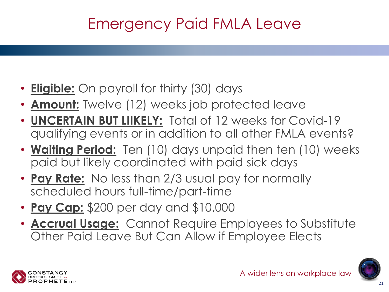#### Emergency Paid FMLA Leave

- **Eligible:** On payroll for thirty (30) days
- **Amount:** Twelve (12) weeks job protected leave
- **UNCERTAIN BUT LIIKELY:** Total of 12 weeks for Covid-19 qualifying events or in addition to all other FMLA events?
- **Waiting Period:** Ten (10) days unpaid then ten (10) weeks paid but likely coordinated with paid sick days
- **Pay Rate:** No less than 2/3 usual pay for normally scheduled hours full-time/part-time
- **Pay Cap:** \$200 per day and \$10,000
- **Accrual Usage:** Cannot Require Employees to Substitute Other Paid Leave But Can Allow if Employee Elects

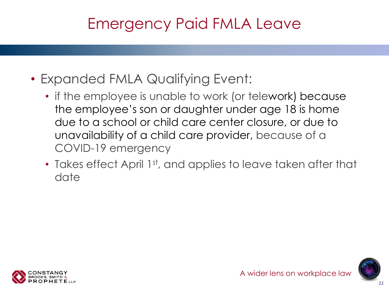#### Emergency Paid FMLA Leave

- Expanded FMLA Qualifying Event:
	- if the employee is unable to work (or telework) because the employee's son or daughter under age 18 is home due to a school or child care center closure, or due to unavailability of a child care provider, because of a COVID-19 emergency
	- Takes effect April 1st, and applies to leave taken after that date



 $22$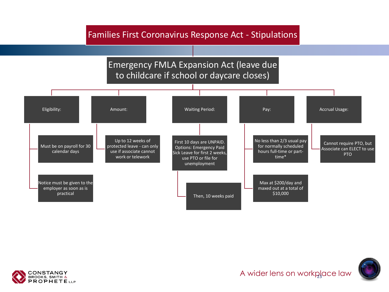#### Families First Coronavirus Response Act - Stipulations

#### Emergency FMLA Expansion Act (leave due to childcare if school or daycare closes) Eligibility: Must be on payroll for 30 calendar days Notice must be given to the employer as soon as is practical Amount: Up to 12 weeks of protected leave - can only use if associate cannot work or telework Waiting Period: First 10 days are UNPAID. Options: Emergency Paid Sick Leave for first 2 weeks, use PTO or file for unemployment Then, 10 weeks paid Pay: No less than 2/3 usual pay for normally scheduled hours full-time or parttime\* Max at \$200/day and maxed out at a total of \$10,000 Accrual Usage: Cannot require PTO, but Associate can ELECT to use PTO

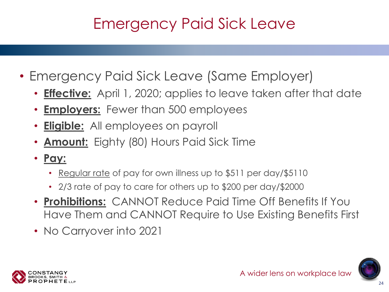# Emergency Paid Sick Leave

- Emergency Paid Sick Leave (Same Employer)
	- **Effective:** April 1, 2020; applies to leave taken after that date
	- **Employers:** Fewer than 500 employees
	- **Eligible:** All employees on payroll
	- **Amount:** Eighty (80) Hours Paid Sick Time
	- **Pay:**
		- Regular rate of pay for own illness up to \$511 per day/\$5110
		- 2/3 rate of pay to care for others up to \$200 per day/\$2000
	- **Prohibitions:** CANNOT Reduce Paid Time Off Benefits If You Have Them and CANNOT Require to Use Existing Benefits First
	- No Carryover into 2021

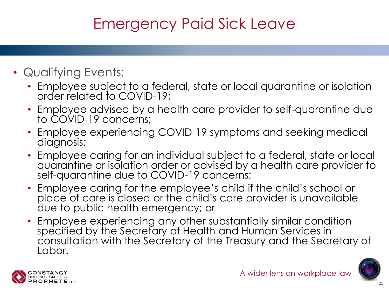# Emergency Paid Sick Leave

- Qualifying Events:
	- Employee subject to a federal, state or local quarantine or isolation order related to COVID-19;
	- Employee advised by a health care provider to self-quarantine due to COVID-19 concerns;
	- Employee experiencing COVID-19 symptoms and seeking medical diagnosis;
	- Employee caring for an individual subject to a federal, state or local quarantine or isolation order or advised by a health care provider to self-quarantine due to COVID-19 concerns;
	- Employee caring for the employee's child if the child's school or place of care is closed or the child's care provider is unavailable due to public health emergency; or
	- Employee experiencing any other substantially similar condition specified by the Secretary of Health and Human Services in consultation with the Secretary of the Treasury and the Secretary of Labor.



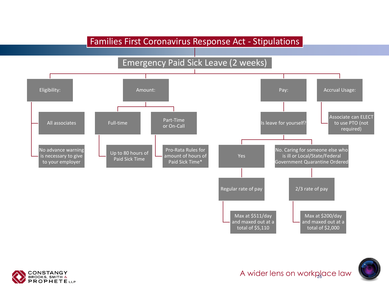#### Families First Coronavirus Response Act - Stipulations

#### Emergency Paid Sick Leave (2 weeks)





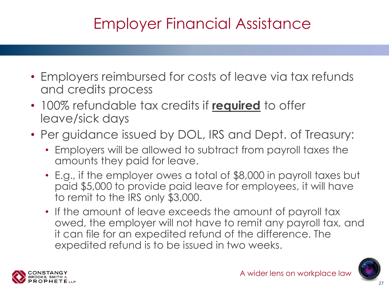# Employer Financial Assistance

- Employers reimbursed for costs of leave via tax refunds and credits process
- 100% refundable tax credits if **required** to offer leave/sick days
- Per guidance issued by DOL, IRS and Dept. of Treasury:
	- Employers will be allowed to subtract from payroll taxes the amounts they paid for leave.
	- E.g., if the employer owes a total of \$8,000 in payroll taxes but paid \$5,000 to provide paid leave for employees, it will have to remit to the IRS only \$3,000.
	- If the amount of leave exceeds the amount of payroll tax owed, the employer will not have to remit any payroll tax, and it can file for an expedited refund of the difference. The expedited refund is to be issued in two weeks.

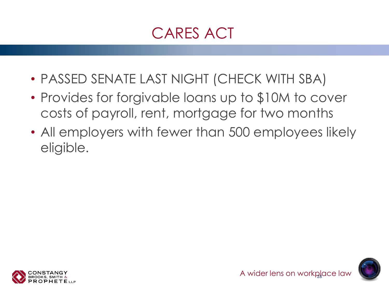#### CARES ACT

- PASSED SENATE LAST NIGHT (CHECK WITH SBA)
- Provides for forgivable loans up to \$10M to cover costs of payroll, rent, mortgage for two months
- All employers with fewer than 500 employees likely eligible.



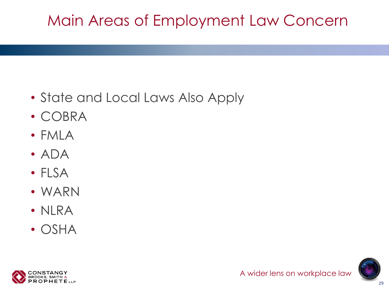# Main Areas of Employment Law Concern

- State and Local Laws Also Apply
- COBRA
- FMLA
- ADA
- FLSA
- WARN
- NLRA
- OSHA



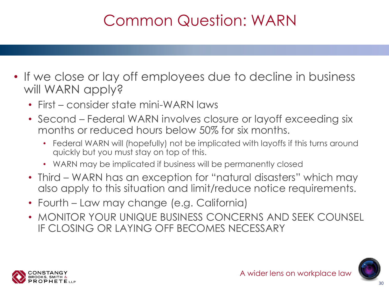# Common Question: WARN

- If we close or lay off employees due to decline in business will WARN apply?
	- First consider state mini-WARN laws
	- Second Federal WARN involves closure or layoff exceeding six months or reduced hours below 50% for six months.
		- Federal WARN will (hopefully) not be implicated with layoffs if this turns around quickly but you must stay on top of this.
		- WARN may be implicated if business will be permanently closed
	- Third WARN has an exception for "natural disasters" which may also apply to this situation and limit/reduce notice requirements.
	- Fourth Law may change (e.g. California)
	- MONITOR YOUR UNIQUE BUSINESS CONCERNS AND SEEK COUNSEL IF CLOSING OR LAYING OFF BECOMES NECESSARY

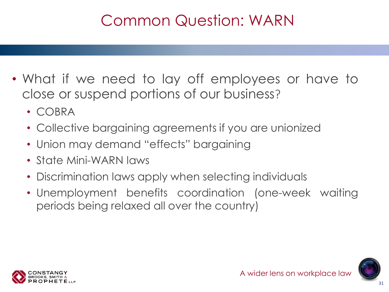### Common Question: WARN

- What if we need to lay off employees or have to close or suspend portions of our business?
	- COBRA
	- Collective bargaining agreements if you are unionized
	- Union may demand "effects" bargaining
	- State Mini-WARN laws
	- Discrimination laws apply when selecting individuals
	- Unemployment benefits coordination (one-week waiting periods being relaxed all over the country)

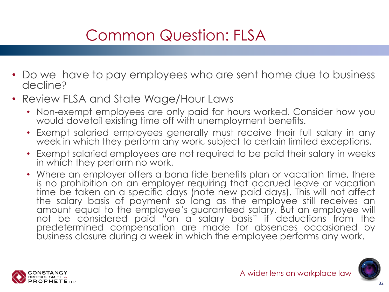# Common Question: FLSA

- Do we have to pay employees who are sent home due to business decline?
- Review FLSA and State Wage/Hour Laws
	- Non-exempt employees are only paid for hours worked. Consider how you would dovetail existing time off with unemployment benefits.
	- Exempt salaried employees generally must receive their full salary in any week in which they perform any work, subject to certain limited exceptions.
	- Exempt salaried employees are not required to be paid their salary in weeks in which they perform no work.
	- Where an employer offers a bona fide benefits plan or vacation time, there is no prohibition on an employer requiring that accrued leave or vacation time be taken on a specific days (note new paid days). This will not affect the salary basis of payment so long as the employee still receives an amount equal to the employee's guaranteed salary. But an employee will not be considered paid "on a salary basis" if deductions from the predetermined compensation are made for absences occasioned by business closure during a week in which the employee performs any work.

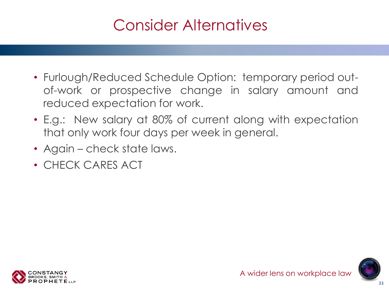#### Consider Alternatives

- Furlough/Reduced Schedule Option: temporary period outof-work or prospective change in salary amount and reduced expectation for work.
- E.g.: New salary at 80% of current along with expectation that only work four days per week in general.
- Again check state laws.
- CHECK CARES ACT

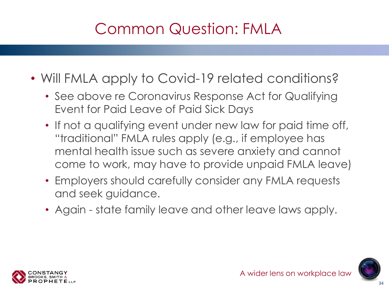# Common Question: FMLA

- Will FMLA apply to Covid-19 related conditions?
	- See above re Coronavirus Response Act for Qualifying Event for Paid Leave of Paid Sick Days
	- If not a qualifying event under new law for paid time off, "traditional" FMLA rules apply (e.g., if employee has mental health issue such as severe anxiety and cannot come to work, may have to provide unpaid FMLA leave)
	- Employers should carefully consider any FMLA requests and seek guidance.
	- Again state family leave and other leave laws apply.

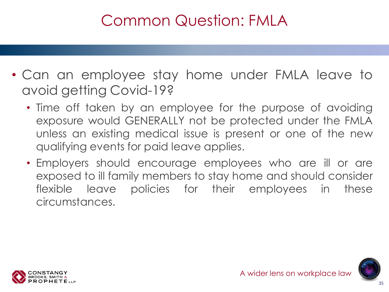#### Common Question: FMLA

- Can an employee stay home under FMLA leave to avoid getting Covid-19?
	- Time off taken by an employee for the purpose of avoiding exposure would GENERALLY not be protected under the FMLA unless an existing medical issue is present or one of the new qualifying events for paid leave applies.
	- Employers should encourage employees who are ill or are exposed to ill family members to stay home and should consider flexible leave policies for their employees in these circumstances.

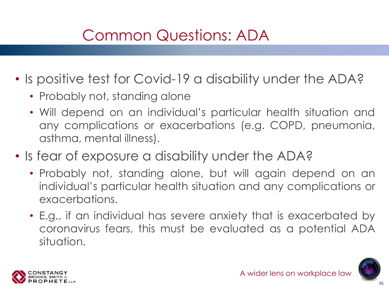# Common Questions: ADA

- Is positive test for Covid-19 a disability under the ADA?
	- Probably not, standing alone
	- Will depend on an individual's particular health situation and any complications or exacerbations (e.g. COPD, pneumonia, asthma, mental illness).
- Is fear of exposure a disability under the ADA?
	- Probably not, standing alone, but will again depend on an individual's particular health situation and any complications or exacerbations.
	- E.g., if an individual has severe anxiety that is exacerbated by coronavirus fears, this must be evaluated as a potential ADA situation.

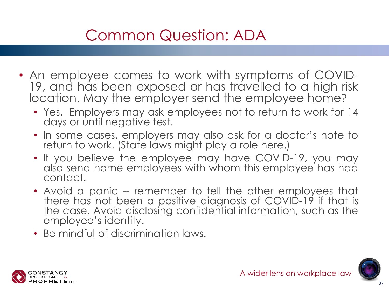# Common Question: ADA

- An employee comes to work with symptoms of COVID-19, and has been exposed or has travelled to a high risk location. May the employer send the employee home?
	- Yes. Employers may ask employees not to return to work for 14 days or until negative test.
	- In some cases, employers may also ask for a doctor's note to return to work. (State laws might play a role here.)
	- If you believe the employee may have COVID-19, you may also send home employees with whom this employee has had contact.
	- Avoid a panic -- remember to tell the other employees that there has not been a positive diagnosis of COVID-19 if that is the case. Avoid disclosing confidential information, such as the employee's identity.
	- Be mindful of discrimination laws.

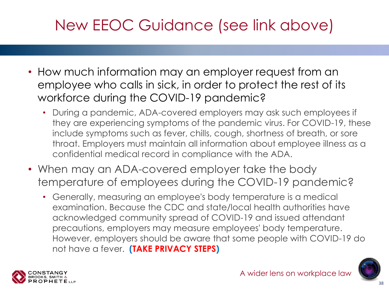# New EEOC Guidance (see link above)

- How much information may an employer request from an employee who calls in sick, in order to protect the rest of its workforce during the COVID-19 pandemic?
	- During a pandemic, ADA-covered employers may ask such employees if they are experiencing symptoms of the pandemic virus. For COVID-19, these include symptoms such as fever, chills, cough, shortness of breath, or sore throat. Employers must maintain all information about employee illness as a confidential medical record in compliance with the ADA.
- When may an ADA-covered employer take the body temperature of employees during the COVID-19 pandemic?
	- Generally, measuring an employee's body temperature is a medical examination. Because the CDC and state/local health authorities have acknowledged community spread of COVID-19 and issued attendant precautions, employers may measure employees' body temperature. However, employers should be aware that some people with COVID-19 do not have a fever. **(TAKE PRIVACY STEPS)**



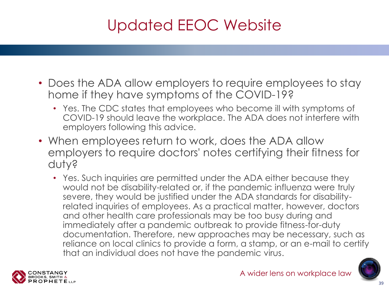# Updated EEOC Website

- Does the ADA allow employers to require employees to stay home if they have symptoms of the COVID-19?
	- Yes. The CDC states that employees who become ill with symptoms of COVID-19 should leave the workplace. The ADA does not interfere with employers following this advice.
- When employees return to work, does the ADA allow employers to require doctors' notes certifying their fitness for duty?
	- Yes. Such inquiries are permitted under the ADA either because they would not be disability-related or, if the pandemic influenza were truly severe, they would be justified under the ADA standards for disabilityrelated inquiries of employees. As a practical matter, however, doctors and other health care professionals may be too busy during and immediately after a pandemic outbreak to provide fitness-for-duty documentation. Therefore, new approaches may be necessary, such as reliance on local clinics to provide a form, a stamp, or an e-mail to certify that an individual does not have the pandemic virus.



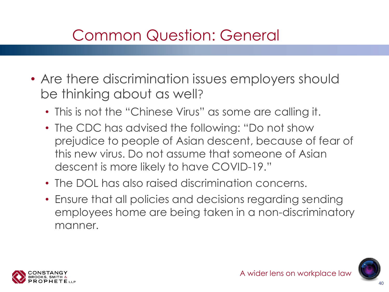#### Common Question: General

- Are there discrimination issues employers should be thinking about as well?
	- This is not the "Chinese Virus" as some are calling it.
	- The CDC has advised the following: "Do not show prejudice to people of Asian descent, because of fear of this new virus. Do not assume that someone of Asian descent is more likely to have COVID-19."
	- The DOL has also raised discrimination concerns.
	- Ensure that all policies and decisions regarding sending employees home are being taken in a non-discriminatory manner.

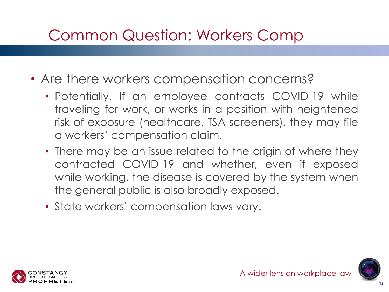#### Common Question: Workers Comp

- Are there workers compensation concerns?
	- Potentially. If an employee contracts COVID-19 while traveling for work, or works in a position with heightened risk of exposure (healthcare, TSA screeners), they may file a workers' compensation claim.
	- There may be an issue related to the origin of where they contracted COVID-19 and whether, even if exposed while working, the disease is covered by the system when the general public is also broadly exposed.
	- State workers' compensation laws vary.

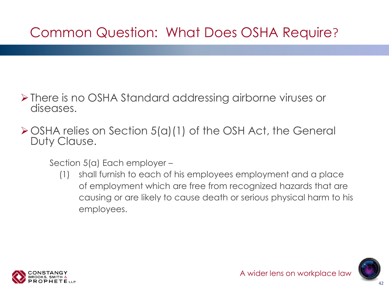#### Common Question: What Does OSHA Require?

- ➢There is no OSHA Standard addressing airborne viruses or diseases.
- ➢OSHA relies on Section 5(a)(1) of the OSH Act, the General Duty Clause.

Section 5(a) Each employer –

(1) shall furnish to each of his employees employment and a place of employment which are free from recognized hazards that are causing or are likely to cause death or serious physical harm to his employees.

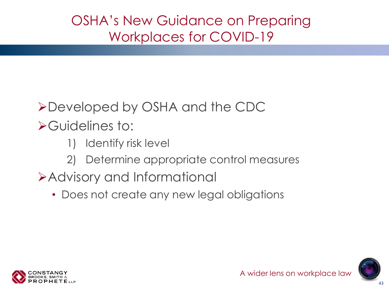OSHA's New Guidance on Preparing Workplaces for COVID-19

#### ➢Developed by OSHA and the CDC

➢Guidelines to:

- 1) Identify risk level
- 2) Determine appropriate control measures
- ➢Advisory and Informational
	- Does not create any new legal obligations



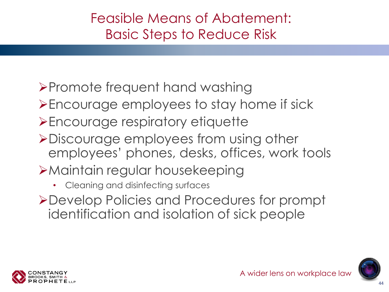#### Feasible Means of Abatement: Basic Steps to Reduce Risk

#### ➢Promote frequent hand washing

- ➢Encourage employees to stay home if sick
- ➢Encourage respiratory etiquette
- ➢Discourage employees from using other employees' phones, desks, offices, work tools
- ➢Maintain regular housekeeping
	- Cleaning and disinfecting surfaces
- ➢Develop Policies and Procedures for prompt identification and isolation of sick people



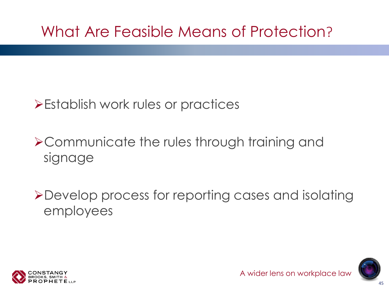#### What Are Feasible Means of Protection?

#### ➢Establish work rules or practices

#### ➢Communicate the rules through training and signage

➢Develop process for reporting cases and isolating employees

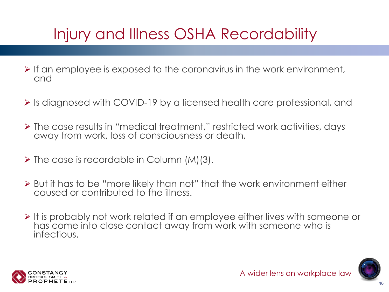# Injury and Illness OSHA Recordability

- $\triangleright$  If an employee is exposed to the coronavirus in the work environment, and
- ➢ Is diagnosed with COVID-19 by a licensed health care professional, and
- ➢ The case results in "medical treatment," restricted work activities, days away from work, loss of consciousness or death,
- $\triangleright$  The case is recordable in Column (M)(3).
- ➢ But it has to be "more likely than not" that the work environment either caused or contributed to the illness.
- ➢ It is probably not work related if an employee either lives with someone or has come into close contact away from work with someone who is infectious.

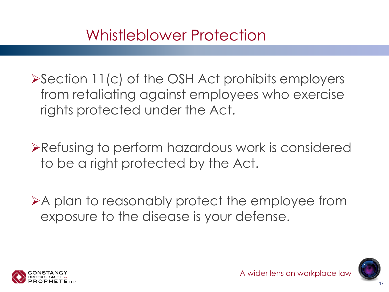#### Whistleblower Protection

➢Section 11(c) of the OSH Act prohibits employers from retaliating against employees who exercise rights protected under the Act.

➢Refusing to perform hazardous work is considered to be a right protected by the Act.

➢A plan to reasonably protect the employee from exposure to the disease is your defense.

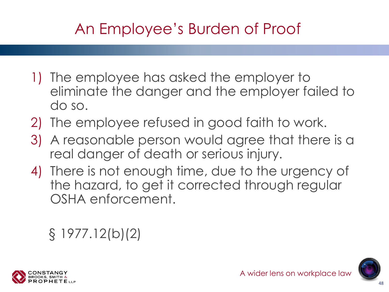# An Employee's Burden of Proof

- 1) The employee has asked the employer to eliminate the danger and the employer failed to do so.
- 2) The employee refused in good faith to work.
- 3) A reasonable person would agree that there is a real danger of death or serious injury.
- 4) There is not enough time, due to the urgency of the hazard, to get it corrected through regular OSHA enforcement.

#### § 1977.12(b)(2)